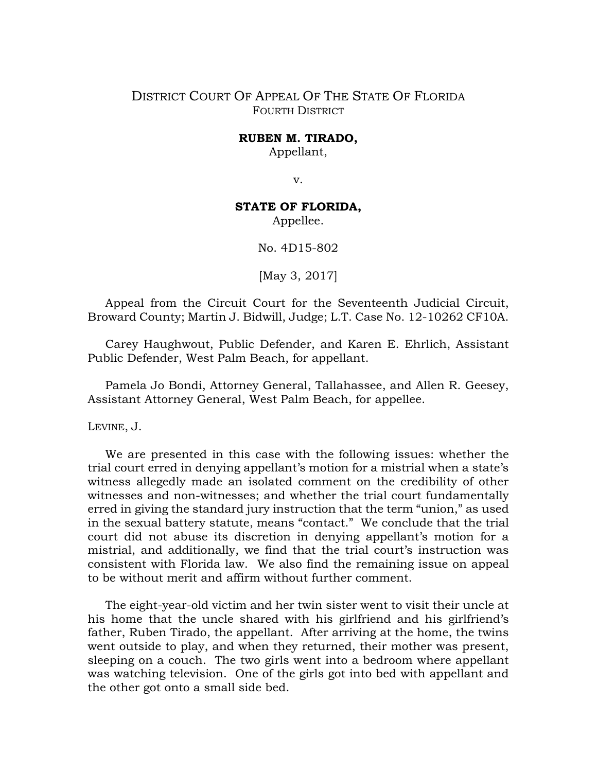## DISTRICT COURT OF APPEAL OF THE STATE OF FLORIDA FOURTH DISTRICT

## **RUBEN M. TIRADO,**

Appellant,

v.

## **STATE OF FLORIDA,**

Appellee.

No. 4D15-802

[May 3, 2017]

Appeal from the Circuit Court for the Seventeenth Judicial Circuit, Broward County; Martin J. Bidwill, Judge; L.T. Case No. 12-10262 CF10A.

Carey Haughwout, Public Defender, and Karen E. Ehrlich, Assistant Public Defender, West Palm Beach, for appellant.

Pamela Jo Bondi, Attorney General, Tallahassee, and Allen R. Geesey, Assistant Attorney General, West Palm Beach, for appellee.

## LEVINE, J.

We are presented in this case with the following issues: whether the trial court erred in denying appellant's motion for a mistrial when a state's witness allegedly made an isolated comment on the credibility of other witnesses and non-witnesses; and whether the trial court fundamentally erred in giving the standard jury instruction that the term "union," as used in the sexual battery statute, means "contact." We conclude that the trial court did not abuse its discretion in denying appellant's motion for a mistrial, and additionally, we find that the trial court's instruction was consistent with Florida law. We also find the remaining issue on appeal to be without merit and affirm without further comment.

The eight-year-old victim and her twin sister went to visit their uncle at his home that the uncle shared with his girlfriend and his girlfriend's father, Ruben Tirado, the appellant. After arriving at the home, the twins went outside to play, and when they returned, their mother was present, sleeping on a couch. The two girls went into a bedroom where appellant was watching television. One of the girls got into bed with appellant and the other got onto a small side bed.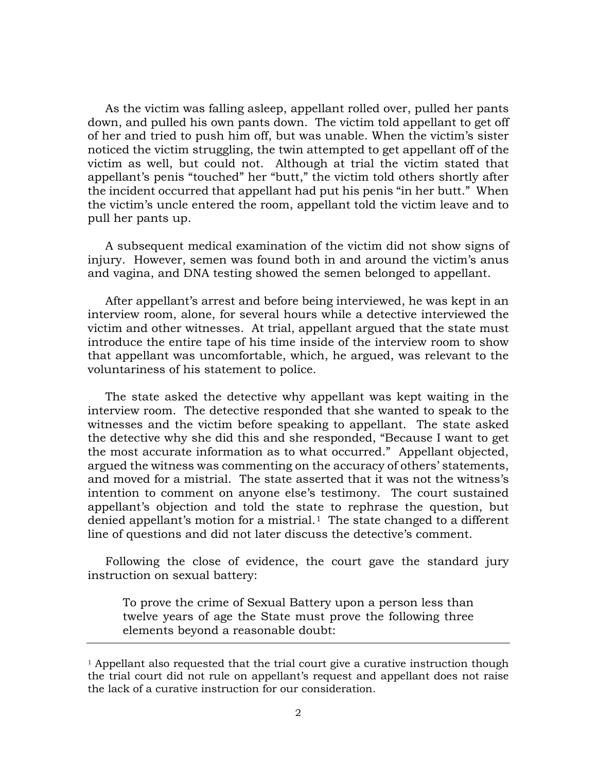As the victim was falling asleep, appellant rolled over, pulled her pants down, and pulled his own pants down. The victim told appellant to get off of her and tried to push him off, but was unable. When the victim's sister noticed the victim struggling, the twin attempted to get appellant off of the victim as well, but could not. Although at trial the victim stated that appellant's penis "touched" her "butt," the victim told others shortly after the incident occurred that appellant had put his penis "in her butt." When the victim's uncle entered the room, appellant told the victim leave and to pull her pants up.

A subsequent medical examination of the victim did not show signs of injury. However, semen was found both in and around the victim's anus and vagina, and DNA testing showed the semen belonged to appellant.

After appellant's arrest and before being interviewed, he was kept in an interview room, alone, for several hours while a detective interviewed the victim and other witnesses. At trial, appellant argued that the state must introduce the entire tape of his time inside of the interview room to show that appellant was uncomfortable, which, he argued, was relevant to the voluntariness of his statement to police.

The state asked the detective why appellant was kept waiting in the interview room. The detective responded that she wanted to speak to the witnesses and the victim before speaking to appellant. The state asked the detective why she did this and she responded, "Because I want to get the most accurate information as to what occurred." Appellant objected, argued the witness was commenting on the accuracy of others' statements, and moved for a mistrial. The state asserted that it was not the witness's intention to comment on anyone else's testimony. The court sustained appellant's objection and told the state to rephrase the question, but denied appellant's motion for a mistrial.<sup>[1](#page-1-0)</sup> The state changed to a different line of questions and did not later discuss the detective's comment.

Following the close of evidence, the court gave the standard jury instruction on sexual battery:

To prove the crime of Sexual Battery upon a person less than twelve years of age the State must prove the following three elements beyond a reasonable doubt:

<span id="page-1-0"></span> $1$  Appellant also requested that the trial court give a curative instruction though the trial court did not rule on appellant's request and appellant does not raise the lack of a curative instruction for our consideration.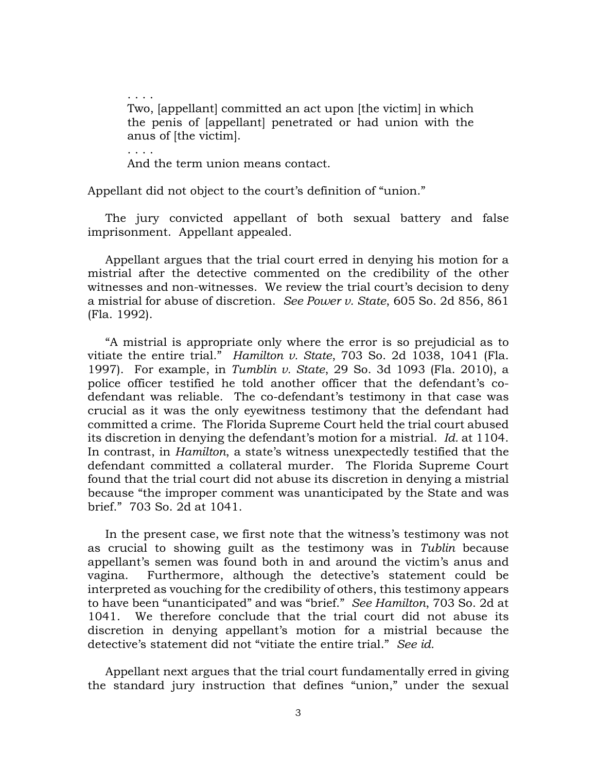. . . . Two, [appellant] committed an act upon [the victim] in which the penis of [appellant] penetrated or had union with the anus of [the victim].

. . . . And the term union means contact.

Appellant did not object to the court's definition of "union."

The jury convicted appellant of both sexual battery and false imprisonment. Appellant appealed.

Appellant argues that the trial court erred in denying his motion for a mistrial after the detective commented on the credibility of the other witnesses and non-witnesses. We review the trial court's decision to deny a mistrial for abuse of discretion. *See Power v. State*, 605 So. 2d 856, 861 (Fla. 1992).

"A mistrial is appropriate only where the error is so prejudicial as to vitiate the entire trial." *Hamilton v. State*, 703 So. 2d 1038, 1041 (Fla. 1997). For example, in *Tumblin v. State*, 29 So. 3d 1093 (Fla. 2010), a police officer testified he told another officer that the defendant's codefendant was reliable. The co-defendant's testimony in that case was crucial as it was the only eyewitness testimony that the defendant had committed a crime. The Florida Supreme Court held the trial court abused its discretion in denying the defendant's motion for a mistrial. *Id.* at 1104. In contrast, in *Hamilton*, a state's witness unexpectedly testified that the defendant committed a collateral murder. The Florida Supreme Court found that the trial court did not abuse its discretion in denying a mistrial because "the improper comment was unanticipated by the State and was brief." 703 So. 2d at 1041.

In the present case, we first note that the witness's testimony was not as crucial to showing guilt as the testimony was in *Tublin* because appellant's semen was found both in and around the victim's anus and vagina. Furthermore, although the detective's statement could be interpreted as vouching for the credibility of others, this testimony appears to have been "unanticipated" and was "brief." *See Hamilton*, 703 So. 2d at 1041. We therefore conclude that the trial court did not abuse its discretion in denying appellant's motion for a mistrial because the detective's statement did not "vitiate the entire trial." *See id.*

Appellant next argues that the trial court fundamentally erred in giving the standard jury instruction that defines "union," under the sexual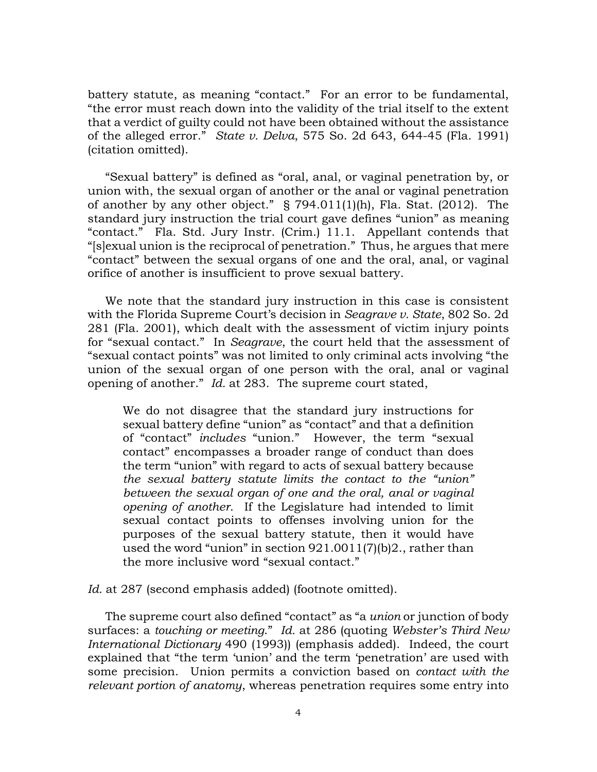battery statute, as meaning "contact." For an error to be fundamental, "the error must reach down into the validity of the trial itself to the extent that a verdict of guilty could not have been obtained without the assistance of the alleged error." *State v. Delva*, 575 So. 2d 643, 644-45 (Fla. 1991) (citation omitted).

"Sexual battery" is defined as "oral, anal, or vaginal penetration by, or union with, the sexual organ of another or the anal or vaginal penetration of another by any other object." § 794.011(1)(h), Fla. Stat. (2012). The standard jury instruction the trial court gave defines "union" as meaning "contact." Fla. Std. Jury Instr. (Crim.) 11.1. Appellant contends that "[s]exual union is the reciprocal of penetration." Thus, he argues that mere "contact" between the sexual organs of one and the oral, anal, or vaginal orifice of another is insufficient to prove sexual battery.

We note that the standard jury instruction in this case is consistent with the Florida Supreme Court's decision in *Seagrave v. State*, 802 So. 2d 281 (Fla. 2001), which dealt with the assessment of victim injury points for "sexual contact." In *Seagrave*, the court held that the assessment of "sexual contact points" was not limited to only criminal acts involving "the union of the sexual organ of one person with the oral, anal or vaginal opening of another." *Id.* at 283. The supreme court stated,

We do not disagree that the standard jury instructions for sexual battery define "union" as "contact" and that a definition of "contact" *includes* "union." However, the term "sexual contact" encompasses a broader range of conduct than does the term "union" with regard to acts of sexual battery because *the sexual battery statute limits the contact to the "union" between the sexual organ of one and the oral, anal or vaginal opening of another*. If the Legislature had intended to limit sexual contact points to offenses involving union for the purposes of the sexual battery statute, then it would have used the word "union" in section 921.0011(7)(b)2., rather than the more inclusive word "sexual contact."

Id. at 287 (second emphasis added) (footnote omitted).

The supreme court also defined "contact" as "a *union* or junction of body surfaces: a *touching or meeting*." *Id.* at 286 (quoting *Webster's Third New International Dictionary* 490 (1993)) (emphasis added). Indeed, the court explained that "the term 'union' and the term 'penetration' are used with some precision. Union permits a conviction based on *contact with the relevant portion of anatomy*, whereas penetration requires some entry into